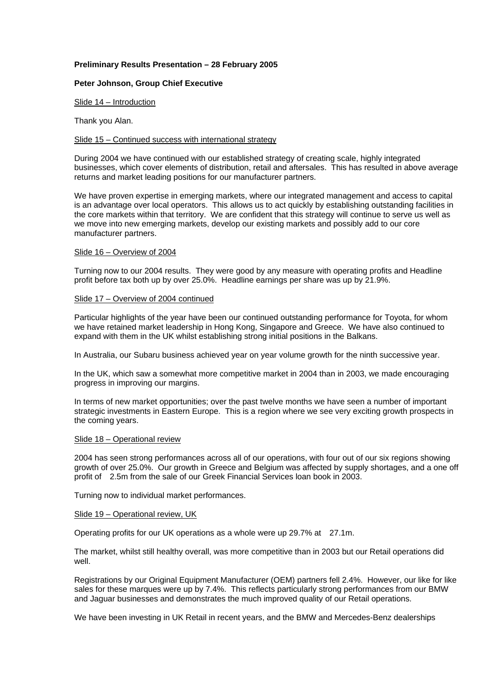## **Preliminary Results Presentation – 28 February 2005**

## **Peter Johnson, Group Chief Executive**

Slide 14 – Introduction

Thank you Alan.

## Slide 15 – Continued success with international strategy

During 2004 we have continued with our established strategy of creating scale, highly integrated businesses, which cover elements of distribution, retail and aftersales. This has resulted in above average returns and market leading positions for our manufacturer partners.

We have proven expertise in emerging markets, where our integrated management and access to capital is an advantage over local operators. This allows us to act quickly by establishing outstanding facilities in the core markets within that territory. We are confident that this strategy will continue to serve us well as we move into new emerging markets, develop our existing markets and possibly add to our core manufacturer partners.

## Slide 16 – Overview of 2004

Turning now to our 2004 results. They were good by any measure with operating profits and Headline profit before tax both up by over 25.0%. Headline earnings per share was up by 21.9%.

## Slide 17 – Overview of 2004 continued

Particular highlights of the year have been our continued outstanding performance for Toyota, for whom we have retained market leadership in Hong Kong, Singapore and Greece. We have also continued to expand with them in the UK whilst establishing strong initial positions in the Balkans.

In Australia, our Subaru business achieved year on year volume growth for the ninth successive year.

In the UK, which saw a somewhat more competitive market in 2004 than in 2003, we made encouraging progress in improving our margins.

In terms of new market opportunities; over the past twelve months we have seen a number of important strategic investments in Eastern Europe. This is a region where we see very exciting growth prospects in the coming years.

#### Slide 18 – Operational review

2004 has seen strong performances across all of our operations, with four out of our six regions showing growth of over 25.0%. Our growth in Greece and Belgium was affected by supply shortages, and a one off profit of 2.5m from the sale of our Greek Financial Services loan book in 2003.

Turning now to individual market performances.

## Slide 19 – Operational review, UK

Operating profits for our UK operations as a whole were up 29.7% at 27.1m.

The market, whilst still healthy overall, was more competitive than in 2003 but our Retail operations did well.

Registrations by our Original Equipment Manufacturer (OEM) partners fell 2.4%. However, our like for like sales for these marques were up by 7.4%. This reflects particularly strong performances from our BMW and Jaguar businesses and demonstrates the much improved quality of our Retail operations.

We have been investing in UK Retail in recent years, and the BMW and Mercedes-Benz dealerships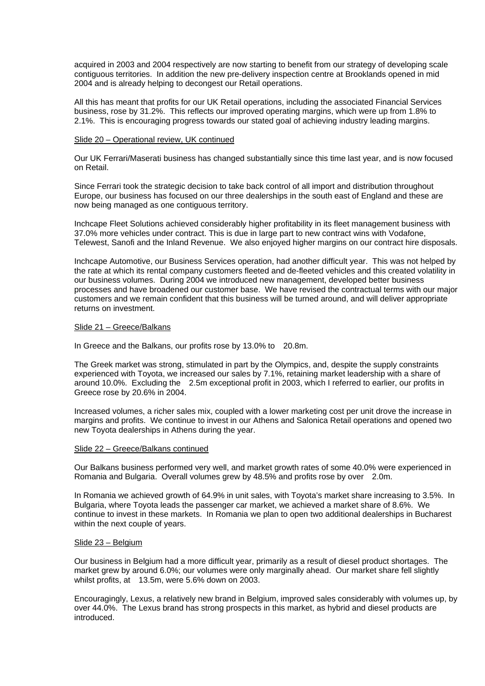acquired in 2003 and 2004 respectively are now starting to benefit from our strategy of developing scale contiguous territories. In addition the new pre-delivery inspection centre at Brooklands opened in mid 2004 and is already helping to decongest our Retail operations.

All this has meant that profits for our UK Retail operations, including the associated Financial Services business, rose by 31.2%. This reflects our improved operating margins, which were up from 1.8% to 2.1%. This is encouraging progress towards our stated goal of achieving industry leading margins.

## Slide 20 – Operational review, UK continued

Our UK Ferrari/Maserati business has changed substantially since this time last year, and is now focused on Retail.

Since Ferrari took the strategic decision to take back control of all import and distribution throughout Europe, our business has focused on our three dealerships in the south east of England and these are now being managed as one contiguous territory.

Inchcape Fleet Solutions achieved considerably higher profitability in its fleet management business with 37.0% more vehicles under contract. This is due in large part to new contract wins with Vodafone, Telewest, Sanofi and the Inland Revenue. We also enjoyed higher margins on our contract hire disposals.

Inchcape Automotive, our Business Services operation, had another difficult year. This was not helped by the rate at which its rental company customers fleeted and de-fleeted vehicles and this created volatility in our business volumes. During 2004 we introduced new management, developed better business processes and have broadened our customer base. We have revised the contractual terms with our major customers and we remain confident that this business will be turned around, and will deliver appropriate returns on investment.

## Slide 21 – Greece/Balkans

In Greece and the Balkans, our profits rose by 13.0% to 20.8m.

The Greek market was strong, stimulated in part by the Olympics, and, despite the supply constraints experienced with Toyota, we increased our sales by 7.1%, retaining market leadership with a share of around 10.0%. Excluding the 2.5m exceptional profit in 2003, which I referred to earlier, our profits in Greece rose by 20.6% in 2004.

Increased volumes, a richer sales mix, coupled with a lower marketing cost per unit drove the increase in margins and profits. We continue to invest in our Athens and Salonica Retail operations and opened two new Toyota dealerships in Athens during the year.

## Slide 22 – Greece/Balkans continued

Our Balkans business performed very well, and market growth rates of some 40.0% were experienced in Romania and Bulgaria. Overall volumes grew by 48.5% and profits rose by over 2.0m.

In Romania we achieved growth of 64.9% in unit sales, with Toyota's market share increasing to 3.5%. In Bulgaria, where Toyota leads the passenger car market, we achieved a market share of 8.6%. We continue to invest in these markets. In Romania we plan to open two additional dealerships in Bucharest within the next couple of years.

#### Slide 23 – Belgium

Our business in Belgium had a more difficult year, primarily as a result of diesel product shortages. The market grew by around 6.0%; our volumes were only marginally ahead. Our market share fell slightly whilst profits, at 13.5m, were 5.6% down on 2003.

Encouragingly, Lexus, a relatively new brand in Belgium, improved sales considerably with volumes up, by over 44.0%. The Lexus brand has strong prospects in this market, as hybrid and diesel products are introduced.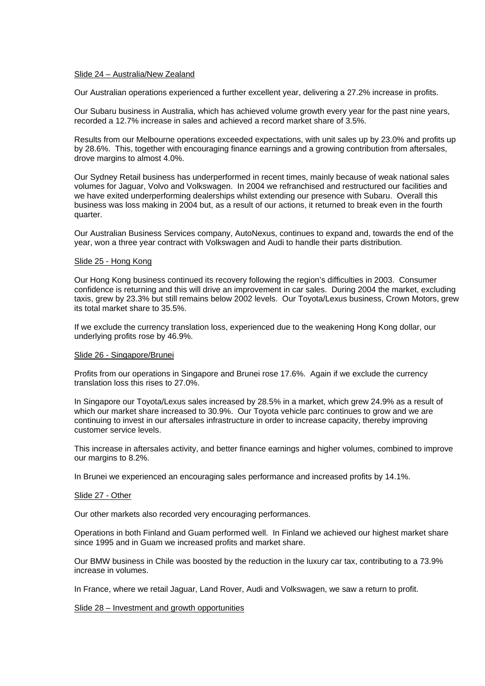## Slide 24 – Australia/New Zealand

Our Australian operations experienced a further excellent year, delivering a 27.2% increase in profits.

Our Subaru business in Australia, which has achieved volume growth every year for the past nine years, recorded a 12.7% increase in sales and achieved a record market share of 3.5%.

Results from our Melbourne operations exceeded expectations, with unit sales up by 23.0% and profits up by 28.6%. This, together with encouraging finance earnings and a growing contribution from aftersales, drove margins to almost 4.0%.

Our Sydney Retail business has underperformed in recent times, mainly because of weak national sales volumes for Jaguar, Volvo and Volkswagen. In 2004 we refranchised and restructured our facilities and we have exited underperforming dealerships whilst extending our presence with Subaru. Overall this business was loss making in 2004 but, as a result of our actions, it returned to break even in the fourth quarter.

Our Australian Business Services company, AutoNexus, continues to expand and, towards the end of the year, won a three year contract with Volkswagen and Audi to handle their parts distribution.

## Slide 25 - Hong Kong

Our Hong Kong business continued its recovery following the region's difficulties in 2003. Consumer confidence is returning and this will drive an improvement in car sales. During 2004 the market, excluding taxis, grew by 23.3% but still remains below 2002 levels. Our Toyota/Lexus business, Crown Motors, grew its total market share to 35.5%.

If we exclude the currency translation loss, experienced due to the weakening Hong Kong dollar, our underlying profits rose by 46.9%.

## Slide 26 - Singapore/Brunei

Profits from our operations in Singapore and Brunei rose 17.6%. Again if we exclude the currency translation loss this rises to 27.0%.

In Singapore our Toyota/Lexus sales increased by 28.5% in a market, which grew 24.9% as a result of which our market share increased to 30.9%. Our Toyota vehicle parc continues to grow and we are continuing to invest in our aftersales infrastructure in order to increase capacity, thereby improving customer service levels.

This increase in aftersales activity, and better finance earnings and higher volumes, combined to improve our margins to 8.2%.

In Brunei we experienced an encouraging sales performance and increased profits by 14.1%.

## Slide 27 - Other

Our other markets also recorded very encouraging performances.

Operations in both Finland and Guam performed well. In Finland we achieved our highest market share since 1995 and in Guam we increased profits and market share.

Our BMW business in Chile was boosted by the reduction in the luxury car tax, contributing to a 73.9% increase in volumes.

In France, where we retail Jaguar, Land Rover, Audi and Volkswagen, we saw a return to profit.

Slide 28 – Investment and growth opportunities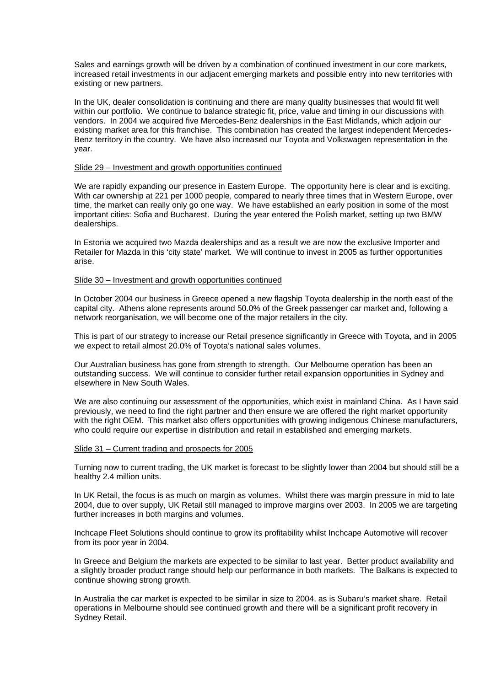Sales and earnings growth will be driven by a combination of continued investment in our core markets, increased retail investments in our adjacent emerging markets and possible entry into new territories with existing or new partners.

In the UK, dealer consolidation is continuing and there are many quality businesses that would fit well within our portfolio. We continue to balance strategic fit, price, value and timing in our discussions with vendors. In 2004 we acquired five Mercedes-Benz dealerships in the East Midlands, which adjoin our existing market area for this franchise. This combination has created the largest independent Mercedes-Benz territory in the country. We have also increased our Toyota and Volkswagen representation in the year.

## Slide 29 – Investment and growth opportunities continued

We are rapidly expanding our presence in Eastern Europe. The opportunity here is clear and is exciting. With car ownership at 221 per 1000 people, compared to nearly three times that in Western Europe, over time, the market can really only go one way. We have established an early position in some of the most important cities: Sofia and Bucharest. During the year entered the Polish market, setting up two BMW dealerships.

In Estonia we acquired two Mazda dealerships and as a result we are now the exclusive Importer and Retailer for Mazda in this 'city state' market. We will continue to invest in 2005 as further opportunities arise.

## Slide 30 – Investment and growth opportunities continued

In October 2004 our business in Greece opened a new flagship Toyota dealership in the north east of the capital city. Athens alone represents around 50.0% of the Greek passenger car market and, following a network reorganisation, we will become one of the major retailers in the city.

This is part of our strategy to increase our Retail presence significantly in Greece with Toyota, and in 2005 we expect to retail almost 20.0% of Toyota's national sales volumes.

Our Australian business has gone from strength to strength. Our Melbourne operation has been an outstanding success. We will continue to consider further retail expansion opportunities in Sydney and elsewhere in New South Wales.

We are also continuing our assessment of the opportunities, which exist in mainland China. As I have said previously, we need to find the right partner and then ensure we are offered the right market opportunity with the right OEM. This market also offers opportunities with growing indigenous Chinese manufacturers, who could require our expertise in distribution and retail in established and emerging markets.

## Slide 31 – Current trading and prospects for 2005

Turning now to current trading, the UK market is forecast to be slightly lower than 2004 but should still be a healthy 2.4 million units.

In UK Retail, the focus is as much on margin as volumes. Whilst there was margin pressure in mid to late 2004, due to over supply, UK Retail still managed to improve margins over 2003. In 2005 we are targeting further increases in both margins and volumes.

Inchcape Fleet Solutions should continue to grow its profitability whilst Inchcape Automotive will recover from its poor year in 2004.

In Greece and Belgium the markets are expected to be similar to last year. Better product availability and a slightly broader product range should help our performance in both markets. The Balkans is expected to continue showing strong growth.

In Australia the car market is expected to be similar in size to 2004, as is Subaru's market share. Retail operations in Melbourne should see continued growth and there will be a significant profit recovery in Sydney Retail.